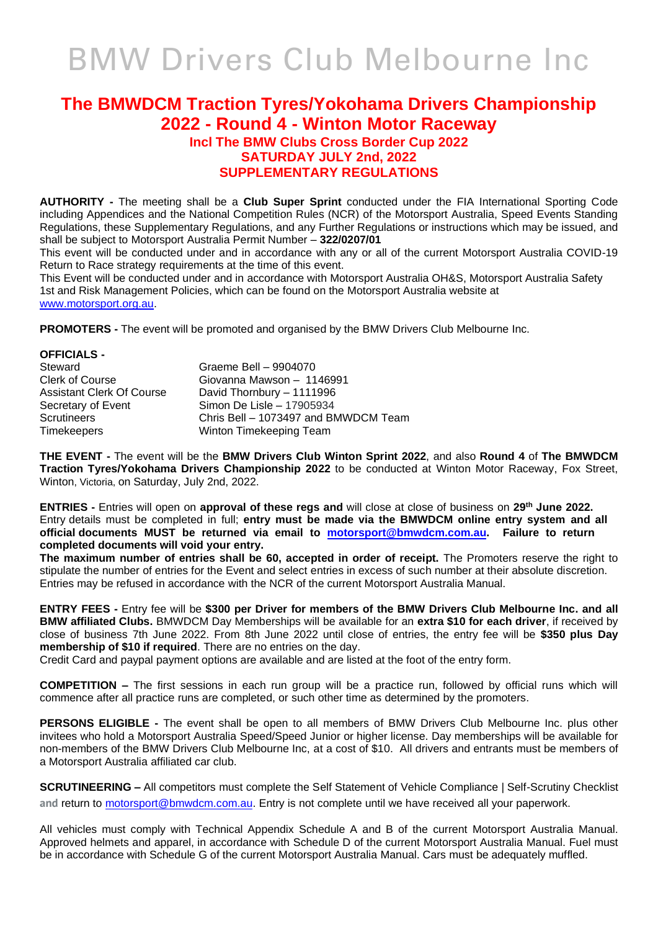# BMW Drivers Club Melbourne Inc

## **The BMWDCM Traction Tyres/Yokohama Drivers Championship 2022 - Round 4 - Winton Motor Raceway**

### **Incl The BMW Clubs Cross Border Cup 2022 SATURDAY JULY 2nd, 2022 SUPPLEMENTARY REGULATIONS**

**AUTHORITY -** The meeting shall be a **Club Super Sprint** conducted under the FIA International Sporting Code including Appendices and the National Competition Rules (NCR) of the Motorsport Australia, Speed Events Standing Regulations, these Supplementary Regulations, and any Further Regulations or instructions which may be issued, and shall be subject to Motorsport Australia Permit Number – **322/0207/01**

This event will be conducted under and in accordance with any or all of the current Motorsport Australia COVID-19 Return to Race strategy requirements at the time of this event.

This Event will be conducted under and in accordance with Motorsport Australia OH&S, Motorsport Australia Safety 1st and Risk Management Policies, which can be found on the Motorsport Australia website at [www.motorsport.org.au.](http://www.motorsport.org.au/)

**PROMOTERS -** The event will be promoted and organised by the BMW Drivers Club Melbourne Inc.

| OFFICIALS -               |                                      |
|---------------------------|--------------------------------------|
| Steward                   | Graeme Bell - 9904070                |
| Clerk of Course           | Giovanna Mawson - 1146991            |
| Assistant Clerk Of Course | David Thornbury - 1111996            |
| Secretary of Event        | Simon De Lisle - 17905934            |
| Scrutineers               | Chris Bell - 1073497 and BMWDCM Team |
| Timekeepers               | Winton Timekeeping Team              |
|                           |                                      |

**THE EVENT -** The event will be the **BMW Drivers Club Winton Sprint 2022**, and also **Round 4** of **The BMWDCM Traction Tyres/Yokohama Drivers Championship 2022** to be conducted at Winton Motor Raceway, Fox Street, Winton, Victoria, on Saturday, July 2nd, 2022.

**ENTRIES -** Entries will open on **approval of these regs and** will close at close of business on **29th June 2022.**  Entry details must be completed in full; **entry must be made via the BMWDCM online entry system and all official documents MUST be returned via email to [motorsport@bmwdcm.com.au.](mailto:motorsport@bmwdcm.com.au) Failure to return completed documents will void your entry.** 

**The maximum number of entries shall be 60, accepted in order of receipt.** The Promoters reserve the right to stipulate the number of entries for the Event and select entries in excess of such number at their absolute discretion. Entries may be refused in accordance with the NCR of the current Motorsport Australia Manual.

**ENTRY FEES -** Entry fee will be **\$300 per Driver for members of the BMW Drivers Club Melbourne Inc. and all BMW affiliated Clubs.** BMWDCM Day Memberships will be available for an **extra \$10 for each driver**, if received by close of business 7th June 2022. From 8th June 2022 until close of entries, the entry fee will be **\$350 plus Day membership of \$10 if required**. There are no entries on the day.

Credit Card and paypal payment options are available and are listed at the foot of the entry form.

**COMPETITION –** The first sessions in each run group will be a practice run, followed by official runs which will commence after all practice runs are completed, or such other time as determined by the promoters.

**PERSONS ELIGIBLE -** The event shall be open to all members of BMW Drivers Club Melbourne Inc. plus other invitees who hold a Motorsport Australia Speed/Speed Junior or higher license. Day memberships will be available for non-members of the BMW Drivers Club Melbourne Inc, at a cost of \$10. All drivers and entrants must be members of a Motorsport Australia affiliated car club.

**SCRUTINEERING –** All competitors must complete the Self Statement of Vehicle Compliance | Self-Scrutiny Checklist and return to **motorsport@bmwdcm.com.au**. Entry is not complete until we have received all your paperwork.

All vehicles must comply with Technical Appendix Schedule A and B of the current Motorsport Australia Manual. Approved helmets and apparel, in accordance with Schedule D of the current Motorsport Australia Manual. Fuel must be in accordance with Schedule G of the current Motorsport Australia Manual. Cars must be adequately muffled.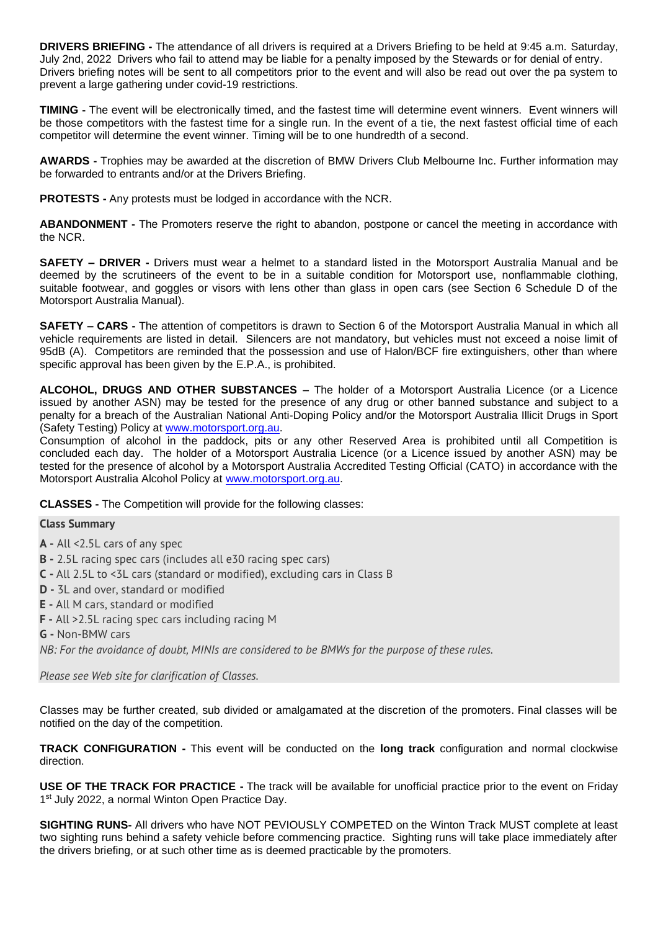**DRIVERS BRIEFING -** The attendance of all drivers is required at a Drivers Briefing to be held at 9:45 a.m. Saturday, July 2nd, 2022 Drivers who fail to attend may be liable for a penalty imposed by the Stewards or for denial of entry. Drivers briefing notes will be sent to all competitors prior to the event and will also be read out over the pa system to prevent a large gathering under covid-19 restrictions.

**TIMING -** The event will be electronically timed, and the fastest time will determine event winners. Event winners will be those competitors with the fastest time for a single run. In the event of a tie, the next fastest official time of each competitor will determine the event winner. Timing will be to one hundredth of a second.

**AWARDS -** Trophies may be awarded at the discretion of BMW Drivers Club Melbourne Inc. Further information may be forwarded to entrants and/or at the Drivers Briefing.

**PROTESTS -** Any protests must be lodged in accordance with the NCR.

**ABANDONMENT -** The Promoters reserve the right to abandon, postpone or cancel the meeting in accordance with the NCR.

**SAFETY – DRIVER -** Drivers must wear a helmet to a standard listed in the Motorsport Australia Manual and be deemed by the scrutineers of the event to be in a suitable condition for Motorsport use, nonflammable clothing, suitable footwear, and goggles or visors with lens other than glass in open cars (see Section 6 Schedule D of the Motorsport Australia Manual).

**SAFETY – CARS -** The attention of competitors is drawn to Section 6 of the Motorsport Australia Manual in which all vehicle requirements are listed in detail. Silencers are not mandatory, but vehicles must not exceed a noise limit of 95dB (A). Competitors are reminded that the possession and use of Halon/BCF fire extinguishers, other than where specific approval has been given by the E.P.A., is prohibited.

**ALCOHOL, DRUGS AND OTHER SUBSTANCES –** The holder of a Motorsport Australia Licence (or a Licence issued by another ASN) may be tested for the presence of any drug or other banned substance and subject to a penalty for a breach of the Australian National Anti-Doping Policy and/or the Motorsport Australia Illicit Drugs in Sport (Safety Testing) Policy at [www.motorsport.org.au.](http://www.motorsport.org.au/)

Consumption of alcohol in the paddock, pits or any other Reserved Area is prohibited until all Competition is concluded each day. The holder of a Motorsport Australia Licence (or a Licence issued by another ASN) may be tested for the presence of alcohol by a Motorsport Australia Accredited Testing Official (CATO) in accordance with the Motorsport Australia Alcohol Policy at [www.motorsport.org.au.](http://www.motorsport.org.au/)

**CLASSES -** The Competition will provide for the following classes:

#### **Class Summary**

- **A -** All <2.5L cars of any spec
- **B -** 2.5L racing spec cars (includes all e30 racing spec cars)
- **C -** All 2.5L to <3L cars (standard or modified), excluding cars in Class B
- **D -** 3L and over, standard or modified
- **E -** All M cars, standard or modified
- **F -** All >2.5L racing spec cars including racing M
- **G -** Non-BMW cars

*NB: For the avoidance of doubt, MINIs are considered to be BMWs for the purpose of these rules.*

*Please see Web site for clarification of Classes.*

Classes may be further created, sub divided or amalgamated at the discretion of the promoters. Final classes will be notified on the day of the competition.

**TRACK CONFIGURATION -** This event will be conducted on the **long track** configuration and normal clockwise direction.

**USE OF THE TRACK FOR PRACTICE -** The track will be available for unofficial practice prior to the event on Friday 1<sup>st</sup> July 2022, a normal Winton Open Practice Day.

**SIGHTING RUNS-** All drivers who have NOT PEVIOUSLY COMPETED on the Winton Track MUST complete at least two sighting runs behind a safety vehicle before commencing practice. Sighting runs will take place immediately after the drivers briefing, or at such other time as is deemed practicable by the promoters.